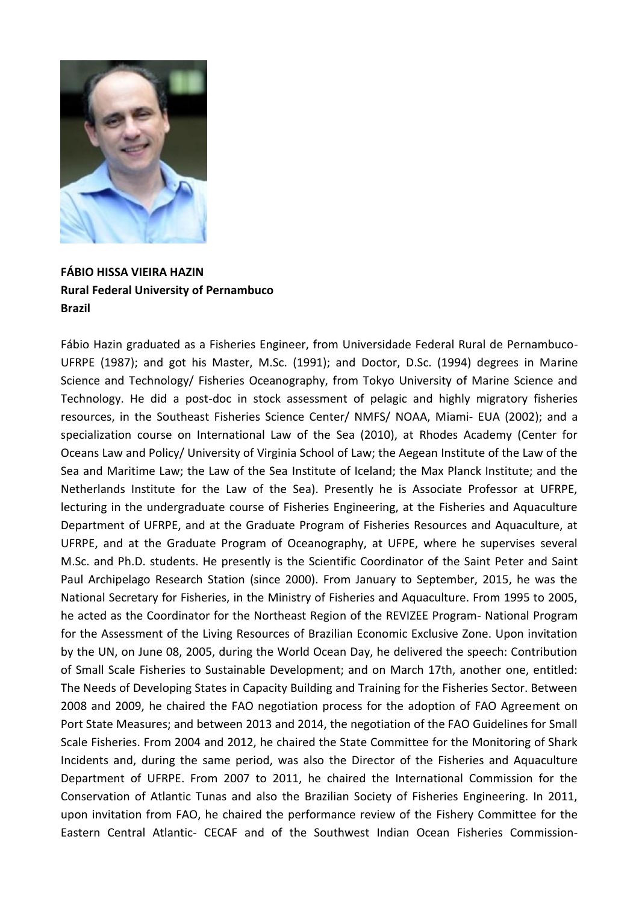

## **FÁBIO HISSA VIEIRA HAZIN Rural Federal University of Pernambuco Brazil**

Fábio Hazin graduated as a Fisheries Engineer, from Universidade Federal Rural de Pernambuco-UFRPE (1987); and got his Master, M.Sc. (1991); and Doctor, D.Sc. (1994) degrees in Marine Science and Technology/ Fisheries Oceanography, from Tokyo University of Marine Science and Technology. He did a post-doc in stock assessment of pelagic and highly migratory fisheries resources, in the Southeast Fisheries Science Center/ NMFS/ NOAA, Miami- EUA (2002); and a specialization course on International Law of the Sea (2010), at Rhodes Academy (Center for Oceans Law and Policy/ University of Virginia School of Law; the Aegean Institute of the Law of the Sea and Maritime Law; the Law of the Sea Institute of Iceland; the Max Planck Institute; and the Netherlands Institute for the Law of the Sea). Presently he is Associate Professor at UFRPE, lecturing in the undergraduate course of Fisheries Engineering, at the Fisheries and Aquaculture Department of UFRPE, and at the Graduate Program of Fisheries Resources and Aquaculture, at UFRPE, and at the Graduate Program of Oceanography, at UFPE, where he supervises several M.Sc. and Ph.D. students. He presently is the Scientific Coordinator of the Saint Peter and Saint Paul Archipelago Research Station (since 2000). From January to September, 2015, he was the National Secretary for Fisheries, in the Ministry of Fisheries and Aquaculture. From 1995 to 2005, he acted as the Coordinator for the Northeast Region of the REVIZEE Program- National Program for the Assessment of the Living Resources of Brazilian Economic Exclusive Zone. Upon invitation by the UN, on June 08, 2005, during the World Ocean Day, he delivered the speech: Contribution of Small Scale Fisheries to Sustainable Development; and on March 17th, another one, entitled: The Needs of Developing States in Capacity Building and Training for the Fisheries Sector. Between 2008 and 2009, he chaired the FAO negotiation process for the adoption of FAO Agreement on Port State Measures; and between 2013 and 2014, the negotiation of the FAO Guidelines for Small Scale Fisheries. From 2004 and 2012, he chaired the State Committee for the Monitoring of Shark Incidents and, during the same period, was also the Director of the Fisheries and Aquaculture Department of UFRPE. From 2007 to 2011, he chaired the International Commission for the Conservation of Atlantic Tunas and also the Brazilian Society of Fisheries Engineering. In 2011, upon invitation from FAO, he chaired the performance review of the Fishery Committee for the Eastern Central Atlantic- CECAF and of the Southwest Indian Ocean Fisheries Commission